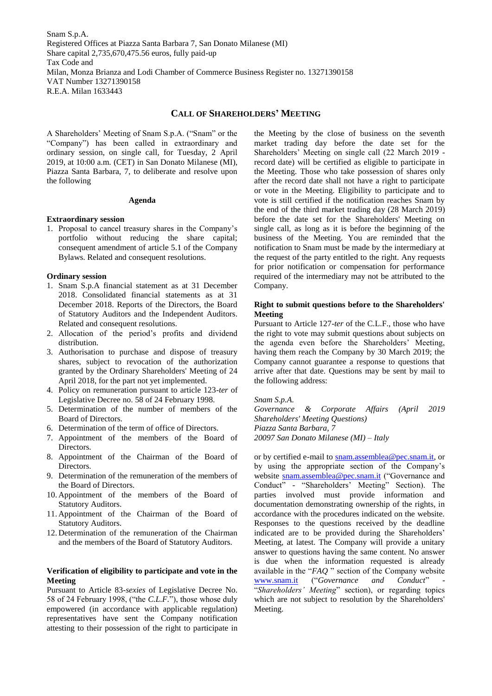Snam S.p.A. Registered Offices at Piazza Santa Barbara 7, San Donato Milanese (MI) Share capital 2,735,670,475.56 euros, fully paid-up Tax Code and Milan, Monza Brianza and Lodi Chamber of Commerce Business Register no. 13271390158 VAT Number 13271390158 R.E.A. Milan 1633443

# **CALL OF SHAREHOLDERS' MEETING**

A Shareholders' Meeting of Snam S.p.A. ("Snam" or the "Company") has been called in extraordinary and ordinary session, on single call, for Tuesday, 2 April 2019, at 10:00 a.m. (CET) in San Donato Milanese (MI), Piazza Santa Barbara, 7, to deliberate and resolve upon the following

#### **Agenda**

## **Extraordinary session**

1. Proposal to cancel treasury shares in the Company's portfolio without reducing the share capital; consequent amendment of article 5.1 of the Company Bylaws. Related and consequent resolutions.

## **Ordinary session**

- 1. Snam S.p.A financial statement as at 31 December 2018. Consolidated financial statements as at 31 December 2018. Reports of the Directors, the Board of Statutory Auditors and the Independent Auditors. Related and consequent resolutions.
- 2. Allocation of the period's profits and dividend distribution.
- 3. Authorisation to purchase and dispose of treasury shares, subject to revocation of the authorization granted by the Ordinary Shareholders' Meeting of 24 April 2018, for the part not yet implemented.
- 4. Policy on remuneration pursuant to article 123-*ter* of Legislative Decree no. 58 of 24 February 1998.
- 5. Determination of the number of members of the Board of Directors.
- 6. Determination of the term of office of Directors.
- 7. Appointment of the members of the Board of Directors.
- 8. Appointment of the Chairman of the Board of Directors.
- 9. Determination of the remuneration of the members of the Board of Directors.
- 10. Appointment of the members of the Board of Statutory Auditors.
- 11. Appointment of the Chairman of the Board of Statutory Auditors.
- 12. Determination of the remuneration of the Chairman and the members of the Board of Statutory Auditors.

### **Verification of eligibility to participate and vote in the Meeting**

Pursuant to Article 83-*sexies* of Legislative Decree No. 58 of 24 February 1998, ("the *C.L.F.*"), those whose duly empowered (in accordance with applicable regulation) representatives have sent the Company notification attesting to their possession of the right to participate in

the Meeting by the close of business on the seventh market trading day before the date set for the Shareholders' Meeting on single call (22 March 2019 record date) will be certified as eligible to participate in the Meeting. Those who take possession of shares only after the record date shall not have a right to participate or vote in the Meeting. Eligibility to participate and to vote is still certified if the notification reaches Snam by the end of the third market trading day (28 March 2019) before the date set for the Shareholders' Meeting on single call, as long as it is before the beginning of the business of the Meeting. You are reminded that the notification to Snam must be made by the intermediary at the request of the party entitled to the right. Any requests for prior notification or compensation for performance required of the intermediary may not be attributed to the Company.

## **Right to submit questions before to the Shareholders' Meeting**

Pursuant to Article 127-*ter* of the C.L.F., those who have the right to vote may submit questions about subjects on the agenda even before the Shareholders' Meeting, having them reach the Company by 30 March 2019; the Company cannot guarantee a response to questions that arrive after that date. Questions may be sent by mail to the following address:

#### *Snam S.p.A.*

*Governance & Corporate Affairs (April 2019 Shareholders' Meeting Questions) Piazza Santa Barbara, 7 20097 San Donato Milanese (MI) – Italy*

or by certified e-mail to [snam.assemblea@pec.snam.it,](snam.assemblea@pec.snam.it) or by using the appropriate section of the Company's website [snam.assemblea@pec.snam.it](mailto:snam.assemblea@pec.snam.it) ("Governance and Conduct" - "Shareholders' Meeting" Section). The parties involved must provide information and documentation demonstrating ownership of the rights, in accordance with the procedures indicated on the website. Responses to the questions received by the deadline indicated are to be provided during the Shareholders' Meeting, at latest. The Company will provide a unitary answer to questions having the same content. No answer is due when the information requested is already available in the "*FAQ* " section of the Company website [www.snam.it](http://www.snam.it/) ("Governance and Conduct" "*Shareholders' Meeting*" section), or regarding topics which are not subject to resolution by the Shareholders' Meeting.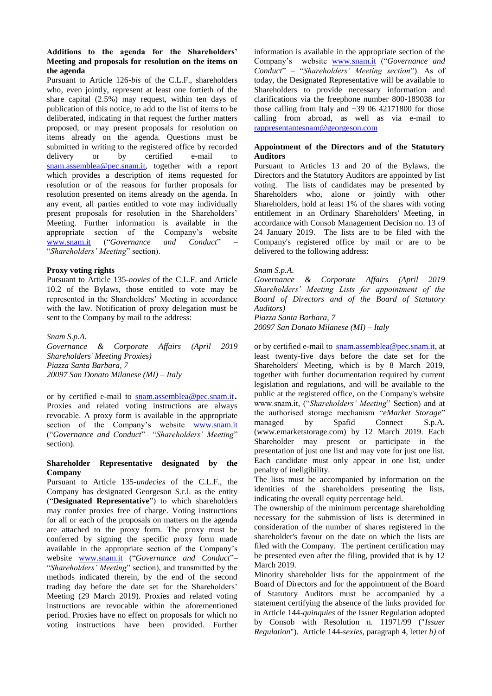## **Additions to the agenda for the Shareholders' Meeting and proposals for resolution on the items on the agenda**

Pursuant to Article 126*-bis* of the C.L.F., shareholders who, even jointly, represent at least one fortieth of the share capital (2.5%) may request, within ten days of publication of this notice, to add to the list of items to be deliberated, indicating in that request the further matters proposed, or may present proposals for resolution on items already on the agenda. Questions must be submitted in writing to the registered office by recorded delivery or by certified e-mail to [snam.assemblea@pec.snam.it,](snam.assemblea@pec.snam.it) together with a report which provides a description of items requested for resolution or of the reasons for further proposals for resolution presented on items already on the agenda. In any event, all parties entitled to vote may individually present proposals for resolution in the Shareholders' Meeting. Further information is available in the appropriate section of the Company's website [www.snam.it](http://www.snam.it/) ("*Governance and Conduct*" – "*Shareholders' Meeting*" section).

## **Proxy voting rights**

Pursuant to Article 135*-novies* of the C.L.F. and Article 10.2 of the Bylaws, those entitled to vote may be represented in the Shareholders' Meeting in accordance with the law. Notification of proxy delegation must be sent to the Company by mail to the address:

*Snam S.p.A. Governance & Corporate Affairs (April 2019 Shareholders' Meeting Proxies) Piazza Santa Barbara, 7 20097 San Donato Milanese (MI) – Italy*

or by certified e-mail to <snam.assemblea@pec.snam.it>. Proxies and related voting instructions are always revocable. A proxy form is available in the appropriate section of the Company's website [www.snam.it](http://www.snam.it/) ("*Governance and Conduct*"– "*Shareholders' Meeting*" section).

## **Shareholder Representative designated by the Company**

Pursuant to Article 135*-undecies* of the C.L.F., the Company has designated Georgeson S.r.l. as the entity ("**Designated Representative**") to which shareholders may confer proxies free of charge. Voting instructions for all or each of the proposals on matters on the agenda are attached to the proxy form. The proxy must be conferred by signing the specific proxy form made available in the appropriate section of the Company's website [www.snam.it](http://www.snam.it/) ("*Governance and Conduct*"– "*Shareholders' Meeting*" section), and transmitted by the methods indicated therein, by the end of the second trading day before the date set for the Shareholders' Meeting (29 March 2019). Proxies and related voting instructions are revocable within the aforementioned period. Proxies have no effect on proposals for which no voting instructions have been provided. Further

information is available in the appropriate section of the Company's website [www.snam.it](http://www.snam.it/) ("*Governance and Conduct*" – "*Shareholders' Meeting section*"). As of today, the Designated Representative will be available to Shareholders to provide necessary information and clarifications via the freephone number 800-189038 for those calling from Italy and  $+39,06,42171800$  for those calling from abroad, as well as via e-mail to <rappresentantesnam@georgeson.com>

## **Appointment of the Directors and of the Statutory Auditors**

Pursuant to Articles 13 and 20 of the Bylaws, the Directors and the Statutory Auditors are appointed by list voting. The lists of candidates may be presented by Shareholders who, alone or jointly with other Shareholders, hold at least 1% of the shares with voting entitlement in an Ordinary Shareholders' Meeting, in accordance with Consob Management Decision no. 13 of 24 January 2019. The lists are to be filed with the Company's registered office by mail or are to be delivered to the following address:

## *Snam S.p.A.*

*Governance & Corporate Affairs (April 2019 Shareholders' Meeting Lists for appointment of the Board of Directors and of the Board of Statutory Auditors)*

*Piazza Santa Barbara, 7 20097 San Donato Milanese (MI) – Italy*

or by certified e-mail to [snam.assemblea@pec.snam.it,](snam.assemblea@pec.snam.it) at least twenty-five days before the date set for the Shareholders' Meeting, which is by 8 March 2019, together with further documentation required by current legislation and regulations, and will be available to the public at the registered office, on the Company's website www.snam.it, ("*Shareholders' Meeting*" Section) and at the authorised storage mechanism "*eMarket Storage*" managed by Spafid Connect S.p.A. (www.emarketstorage.com) by 12 March 2019. Each Shareholder may present or participate in the presentation of just one list and may vote for just one list. Each candidate must only appear in one list, under penalty of ineligibility.

The lists must be accompanied by information on the identities of the shareholders presenting the lists, indicating the overall equity percentage held.

The ownership of the minimum percentage shareholding necessary for the submission of lists is determined in consideration of the number of shares registered in the shareholder's favour on the date on which the lists are filed with the Company. The pertinent certification may be presented even after the filing, provided that is by 12 March 2019.

Minority shareholder lists for the appointment of the Board of Directors and for the appointment of the Board of Statutory Auditors must be accompanied by a statement certifying the absence of the links provided for in Article 144-*quinquies* of the Issuer Regulation adopted by Consob with Resolution n. 11971/99 ("*Issuer Regulation*"). Article 144-*sexies*, paragraph 4, letter *b)* of